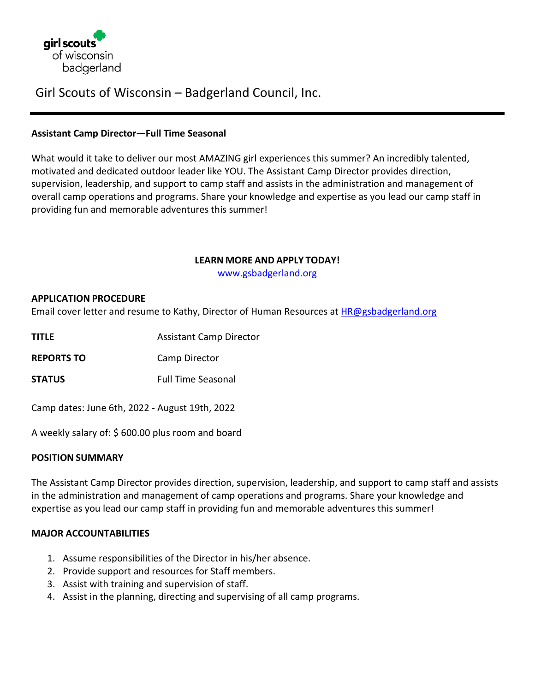

# Girl Scouts of Wisconsin – Badgerland Council, Inc.

## **Assistant Camp Director—Full Time Seasonal**

What would it take to deliver our most AMAZING girl experiences this summer? An incredibly talented, motivated and dedicated outdoor leader like YOU. The Assistant Camp Director provides direction, supervision, leadership, and support to camp staff and assists in the administration and management of overall camp operations and programs. Share your knowledge and expertise as you lead our camp staff in providing fun and memorable adventures this summer!

#### **LEARN MORE AND APPLY TODAY!**

[www.gsbadgerland.org](http://www.gsbadgerland.org/)

#### **APPLICATION PROCEDURE**

Email cover letter and resume to Kathy, Director of Human Resources at [HR@gsbadgerland.org](mailto:HR@gsbadgerland.org)

| <b>TITLE</b>      | <b>Assistant Camp Director</b> |
|-------------------|--------------------------------|
| <b>REPORTS TO</b> | Camp Director                  |

**STATUS Full Time Seasonal** 

Camp dates: June 6th, 2022 - August 19th, 2022

A weekly salary of: \$ 600.00 plus room and board

### **POSITION SUMMARY**

The Assistant Camp Director provides direction, supervision, leadership, and support to camp staff and assists in the administration and management of camp operations and programs. Share your knowledge and expertise as you lead our camp staff in providing fun and memorable adventures this summer!

### **MAJOR ACCOUNTABILITIES**

- 1. Assume responsibilities of the Director in his/her absence.
- 2. Provide support and resources for Staff members.
- 3. Assist with training and supervision of staff.
- 4. Assist in the planning, directing and supervising of all camp programs.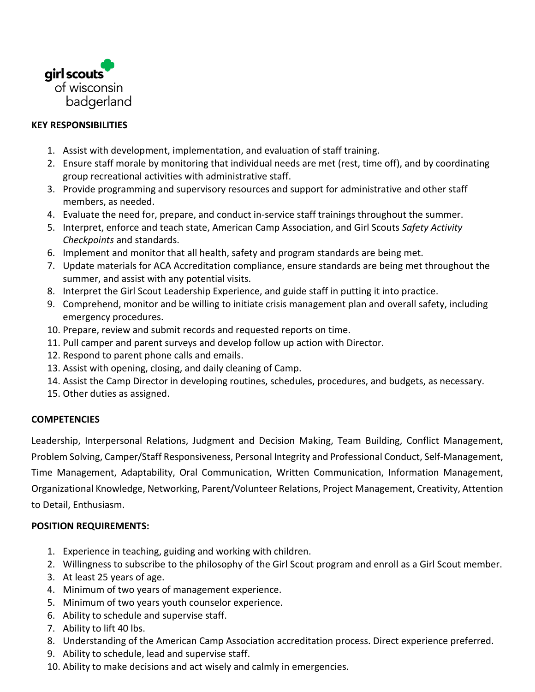

# **KEY RESPONSIBILITIES**

- 1. Assist with development, implementation, and evaluation of staff training.
- 2. Ensure staff morale by monitoring that individual needs are met (rest, time off), and by coordinating group recreational activities with administrative staff.
- 3. Provide programming and supervisory resources and support for administrative and other staff members, as needed.
- 4. Evaluate the need for, prepare, and conduct in-service staff trainings throughout the summer.
- 5. Interpret, enforce and teach state, American Camp Association, and Girl Scouts *Safety Activity Checkpoints* and standards.
- 6. Implement and monitor that all health, safety and program standards are being met.
- 7. Update materials for ACA Accreditation compliance, ensure standards are being met throughout the summer, and assist with any potential visits.
- 8. Interpret the Girl Scout Leadership Experience, and guide staff in putting it into practice.
- 9. Comprehend, monitor and be willing to initiate crisis management plan and overall safety, including emergency procedures.
- 10. Prepare, review and submit records and requested reports on time.
- 11. Pull camper and parent surveys and develop follow up action with Director.
- 12. Respond to parent phone calls and emails.
- 13. Assist with opening, closing, and daily cleaning of Camp.
- 14. Assist the Camp Director in developing routines, schedules, procedures, and budgets, as necessary.
- 15. Other duties as assigned.

# **COMPETENCIES**

Leadership, Interpersonal Relations, Judgment and Decision Making, Team Building, Conflict Management, Problem Solving, Camper/Staff Responsiveness, Personal Integrity and Professional Conduct, Self-Management, Time Management, Adaptability, Oral Communication, Written Communication, Information Management, Organizational Knowledge, Networking, Parent/Volunteer Relations, Project Management, Creativity, Attention to Detail, Enthusiasm.

# **POSITION REQUIREMENTS:**

- 1. Experience in teaching, guiding and working with children.
- 2. Willingness to subscribe to the philosophy of the Girl Scout program and enroll as a Girl Scout member.
- 3. At least 25 years of age.
- 4. Minimum of two years of management experience.
- 5. Minimum of two years youth counselor experience.
- 6. Ability to schedule and supervise staff.
- 7. Ability to lift 40 lbs.
- 8. Understanding of the American Camp Association accreditation process. Direct experience preferred.
- 9. Ability to schedule, lead and supervise staff.
- 10. Ability to make decisions and act wisely and calmly in emergencies.